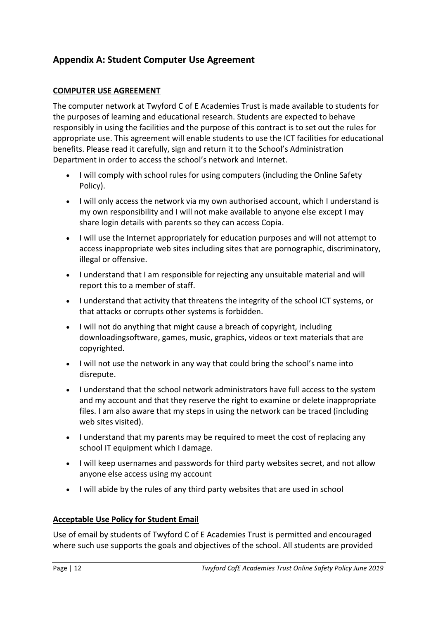# **Appendix A: Student Computer Use Agreement**

# **COMPUTER USE AGREEMENT**

The computer network at Twyford C of E Academies Trust is made available to students for the purposes of learning and educational research. Students are expected to behave responsibly in using the facilities and the purpose of this contract is to set out the rules for appropriate use. This agreement will enable students to use the ICT facilities for educational benefits. Please read it carefully, sign and return it to the School's Administration Department in order to access the school's network and Internet.

- I will comply with school rules for using computers (including the Online Safety Policy).
- I will only access the network via my own authorised account, which I understand is my own responsibility and I will not make available to anyone else except I may share login details with parents so they can access Copia.
- I will use the Internet appropriately for education purposes and will not attempt to access inappropriate web sites including sites that are pornographic, discriminatory, illegal or offensive.
- I understand that I am responsible for rejecting any unsuitable material and will report this to a member of staff.
- I understand that activity that threatens the integrity of the school ICT systems, or that attacks or corrupts other systems is forbidden.
- I will not do anything that might cause a breach of copyright, including downloadingsoftware, games, music, graphics, videos or text materials that are copyrighted.
- I will not use the network in any way that could bring the school's name into disrepute.
- I understand that the school network administrators have full access to the system and my account and that they reserve the right to examine or delete inappropriate files. I am also aware that my steps in using the network can be traced (including web sites visited).
- I understand that my parents may be required to meet the cost of replacing any school IT equipment which I damage.
- I will keep usernames and passwords for third party websites secret, and not allow anyone else access using my account
- I will abide by the rules of any third party websites that are used in school

# **Acceptable Use Policy for Student Email**

Use of email by students of Twyford C of E Academies Trust is permitted and encouraged where such use supports the goals and objectives of the school. All students are provided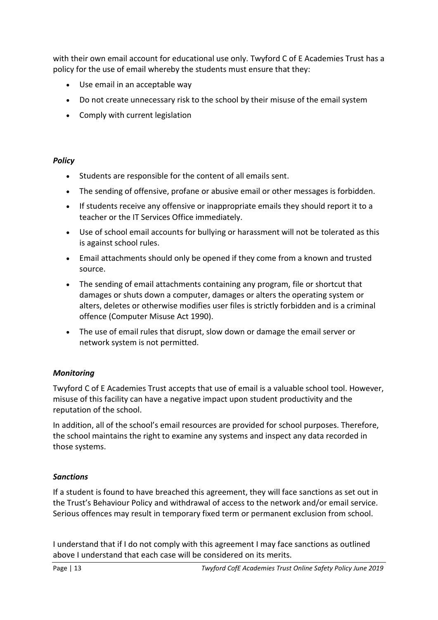with their own email account for educational use only. Twyford C of E Academies Trust has a policy for the use of email whereby the students must ensure that they:

- Use email in an acceptable way
- Do not create unnecessary risk to the school by their misuse of the email system
- Comply with current legislation

# *Policy*

- Students are responsible for the content of all emails sent.
- The sending of offensive, profane or abusive email or other messages is forbidden.
- If students receive any offensive or inappropriate emails they should report it to a teacher or the IT Services Office immediately.
- Use of school email accounts for bullying or harassment will not be tolerated as this is against school rules.
- Email attachments should only be opened if they come from a known and trusted source.
- The sending of email attachments containing any program, file or shortcut that damages or shuts down a computer, damages or alters the operating system or alters, deletes or otherwise modifies user files is strictly forbidden and is a criminal offence (Computer Misuse Act 1990).
- The use of email rules that disrupt, slow down or damage the email server or network system is not permitted.

# *Monitoring*

Twyford C of E Academies Trust accepts that use of email is a valuable school tool. However, misuse of this facility can have a negative impact upon student productivity and the reputation of the school.

In addition, all of the school's email resources are provided for school purposes. Therefore, the school maintains the right to examine any systems and inspect any data recorded in those systems.

# *Sanctions*

If a student is found to have breached this agreement, they will face sanctions as set out in the Trust's Behaviour Policy and withdrawal of access to the network and/or email service. Serious offences may result in temporary fixed term or permanent exclusion from school.

I understand that if I do not comply with this agreement I may face sanctions as outlined above I understand that each case will be considered on its merits.